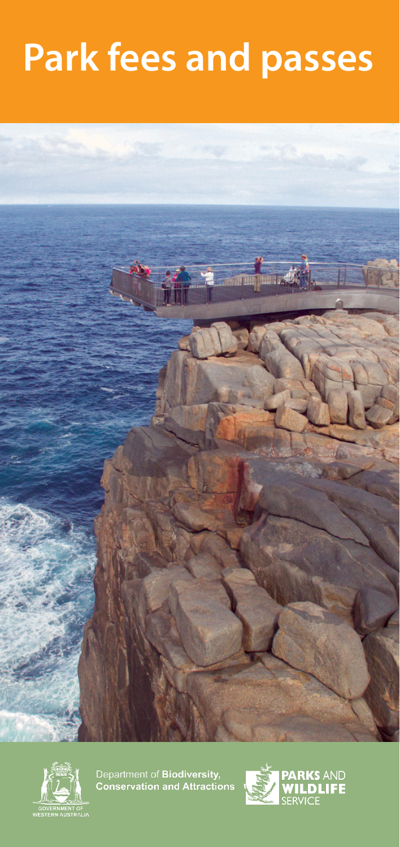# **Park fees and passes**





Department of Biodiversity,<br>Conservation and Attractions

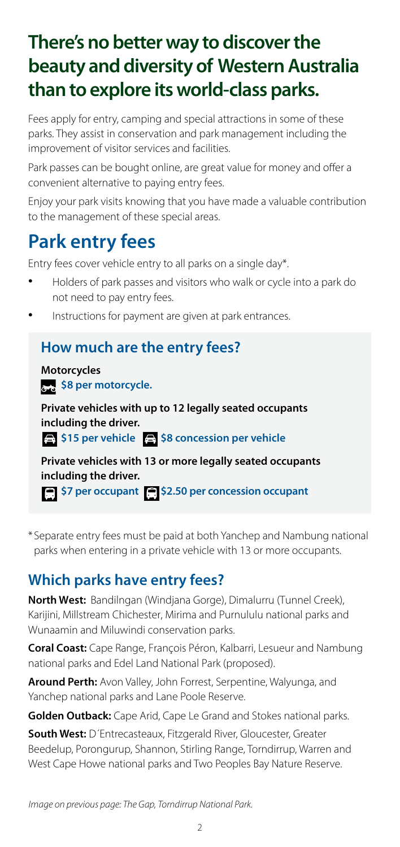# **There's no better way to discover the beauty and diversity of Western Australia than to explore its world-class parks.**

Fees apply for entry, camping and special attractions in some of these parks. They assist in conservation and park management including the improvement of visitor services and facilities.

Park passes can be bought online, are great value for money and offer a convenient alternative to paying entry fees.

Enjoy your park visits knowing that you have made a valuable contribution to the management of these special areas.

# **Park entry fees**

Entry fees cover vehicle entry to all parks on a single day\*.

- Holders of park passes and visitors who walk or cycle into a park do not need to pay entry fees.
- Instructions for payment are given at park entrances.

### **How much are the entry fees?**

**Motorcycles \$8 per motorcycle.** 

**Private vehicles with up to 12 legally seated occupants including the driver.**

**\$15 per vehicle \$8 concession per vehicle** 

**Private vehicles with 13 or more legally seated occupants including the driver. \$7 per occupant 6 \$2.50 per concession occupant** 

\*Separate entry fees must be paid at both Yanchep and Nambung national parks when entering in a private vehicle with 13 or more occupants.

# **Which parks have entry fees?**

**North West:** Bandilngan (Windjana Gorge), Dimalurru (Tunnel Creek), Karijini, Millstream Chichester, Mirima and Purnululu national parks and Wunaamin and Miluwindi conservation parks.

**Coral Coast:** Cape Range, François Péron, Kalbarri, Lesueur and Nambung national parks and Edel Land National Park (proposed).

**Around Perth:** Avon Valley, John Forrest, Serpentine, Walyunga, and Yanchep national parks and Lane Poole Reserve.

**Golden Outback:** Cape Arid, Cape Le Grand and Stokes national parks.

**South West:** D´Entrecasteaux, Fitzgerald River, Gloucester, Greater Beedelup, Porongurup, Shannon, Stirling Range, Torndirrup, Warren and West Cape Howe national parks and Two Peoples Bay Nature Reserve.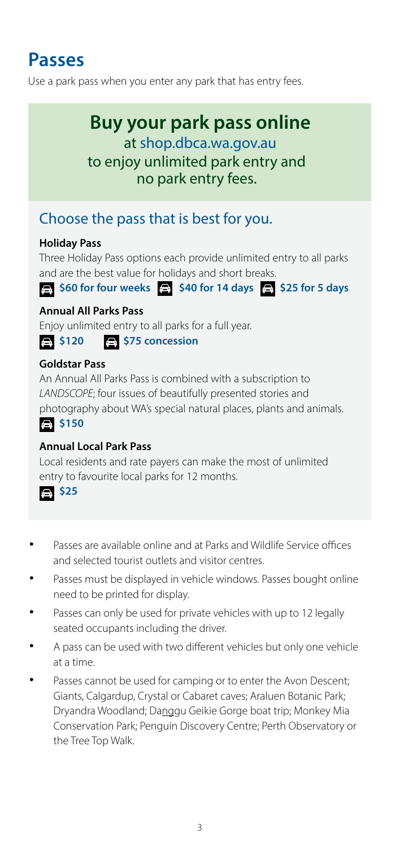# **Passes**

Use a park pass when you enter any park that has entry fees.

# **Buy your park pass online**

to enjoy unlimited park entry and no park entry fees. at [shop.dbca.wa.gov.au](https://shop.dbca.wa.gov.au/)

## Choose the pass that is best for you.

#### **Holiday Pass**

Three Holiday Pass options each provide unlimited entry to all parks and are the best value for holidays and short breaks.

**\$60 for four weeks \$40 for 14 days \$25 for 5 days** 

#### **Annual All Parks Pass**

Enjoy unlimited entry to all parks for a full year.

#### **\$120 \$120** \$75 concession

#### **Goldstar Pass**

An Annual All Parks Pass is combined with a subscription to *LANDSCOPE*; four issues of beautifully presented stories and photography about WA's special natural places, plants and animals. **\$150**

#### **Annual Local Park Pass**

Local residents and rate payers can make the most of unlimited entry to favourite local parks for 12 months.



- Passes are available online and at Parks and Wildlife Service offices and selected tourist outlets and visitor centres.
- Passes must be displayed in vehicle windows. Passes bought online need to be printed for display.
- Passes can only be used for private vehicles with up to 12 legally seated occupants including the driver.
- A pass can be used with two different vehicles but only one vehicle at a time.
- Passes cannot be used for camping or to enter the Avon Descent; Giants, Calgardup, Crystal or Cabaret caves; Araluen Botanic Park; Dryandra Woodland; Danggu Geikie Gorge boat trip; Monkey Mia Conservation Park; Penguin Discovery Centre; Perth Observatory or the Tree Top Walk.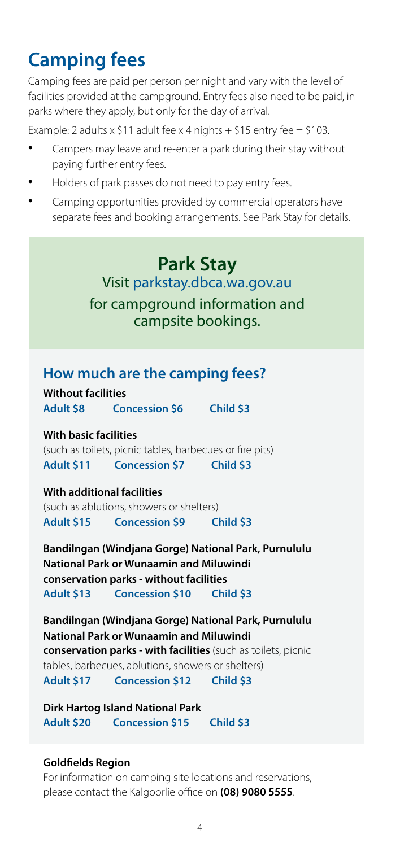# **Camping fees**

Camping fees are paid per person per night and vary with the level of facilities provided at the campground. Entry fees also need to be paid, in parks where they apply, but only for the day of arrival.

Example: 2 adults x \$11 adult fee x 4 nights + \$15 entry fee = \$103.

- Campers may leave and re-enter a park during their stay without paying further entry fees.
- Holders of park passes do not need to pay entry fees.
- Camping opportunities provided by commercial operators have separate fees and booking arrangements. See Park Stay for details.

# **Park Stay**  Visit [parkstay.dbca.wa.gov.au](https://parkstay.dbca.wa.gov.au) for campground information and campsite bookings.

### **How much are the camping fees?**

**Without facilities Adult \$8 Concession \$6 Child \$3**

**With basic facilities** 

(such as toilets, picnic tables, barbecues or fire pits) **Adult \$11 Concession \$7 Child \$3**

#### **With additional facilities**

(such as ablutions, showers or shelters) **Adult \$15 Concession \$9 Child \$3**

**Bandilngan (Windjana Gorge) National Park, Purnululu National Park or Wunaamin and Miluwindi conservation parks - without facilities Adult \$13 Concession \$10 Child \$3**

**Bandilngan (Windjana Gorge) National Park, Purnululu National Park or Wunaamin and Miluwindi conservation parks - with facilities** (such as toilets, picnic tables, barbecues, ablutions, showers or shelters) **Adult \$17 Concession \$12 Child \$3**

**Dirk Hartog Island National Park Adult \$20 Concession \$15 Child \$3**

#### **Goldfields Region**

For information on camping site locations and reservations, please contact the Kalgoorlie office on **(08) 9080 5555**.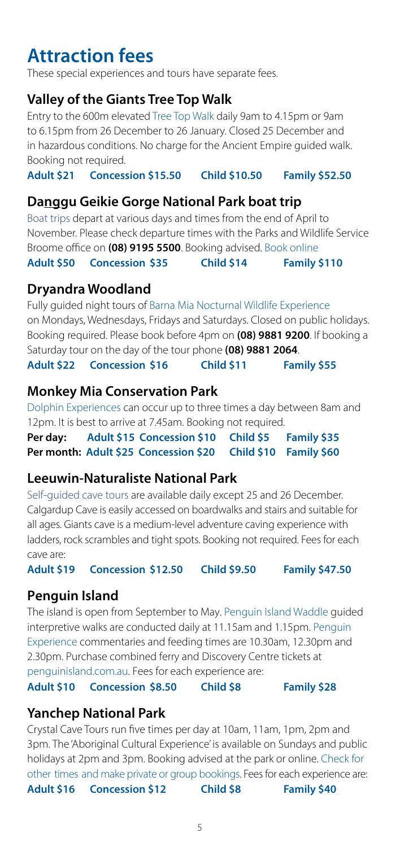# **Attraction fees**

These special experiences and tours have separate fees.

### **Valley of the Giants Tree Top Walk**

Entry to the 600m elevated [Tree Top Walk](https://exploreparks.dbca.wa.gov.au/site/valley-giants-tree-top-walk) daily 9am to 4.15pm or 9am to 6.15pm from 26 December to 26 January. Closed 25 December and in hazardous conditions. No charge for the Ancient Empire guided walk. Booking not required.

**Adult \$21 Concession \$15.50 Child \$10.50 Family \$52.50**

### **Danggu Geikie Gorge National Park boat trip**

[Boat trips](https://exploreparks.dbca.wa.gov.au/park/danggu-geikie-gorge-national-park) depart at various days and times from the end of April to November. Please check departure times with the Parks and Wildlife Service Broome office on **(08) 9195 5500**. Booking advised. [Book online](https://parksandwildlife.rezdy.com/154373/geikie-gorge-boat-tour)

**Adult \$50 Concession \$35 Child \$14 Family \$110**

### **Dryandra Woodland**

Fully guided night tours of [Barna Mia Nocturnal Wildlife Experience](https://exploreparks.dbca.wa.gov.au/site/barna-mia-nocturnal-wildlife-experience) on Mondays, Wednesdays, Fridays and Saturdays. Closed on public holidays. Booking required. Please book before 4pm on **(08) 9881 9200**. If booking a Saturday tour on the day of the tour phone **(08) 9881 2064**. **Adult \$22 Concession \$16 Child \$11 Family \$55**

### **Monkey Mia Conservation Park**

[Dolphin Experiences](https://exploreparks.dbca.wa.gov.au/site/monkey-mia-dolphin-experience) can occur up to three times a day between 8am and 12pm. It is best to arrive at 7.45am. Booking not required.

**Per day: Adult \$15 Concession \$10 Child \$5 Family \$35 Per month: Adult \$25 Concession \$20 Child \$10 Family \$60**

### **Leeuwin-Naturaliste National Park**

[Self-guided cave tours](https://exploreparks.dbca.wa.gov.au/site/calgardup-cave-and-leeuwin-naturaliste-national-park-information-centre) are available daily except 25 and 26 December. Calgardup Cave is easily accessed on boardwalks and stairs and suitable for all ages. Giants cave is a medium-level adventure caving experience with ladders, rock scrambles and tight spots. Booking not required. Fees for each cave are:

**Adult \$19 Concession \$12.50 Child \$9.50 Family \$47.50**

### **Penguin Island**

The island is open from September to May. [Penguin Island Waddle](https://exploreparks.dbca.wa.gov.au/site/penguin-island-discovery-centre) guided interpretive walks are conducted daily at 11.15am and 1.15pm. Penguin [Experience commentaries and feeding times are 10.30am, 12.30pm and](https://exploreparks.dbca.wa.gov.au/site/penguin-island-discovery-centre) 2.30pm. Purchase combined ferry and Discovery Centre tickets at [penguinisland.com.au.](https://www.penguinisland.com.au/) Fees for each experience are: **Adult \$10 Concession \$8.50 Child \$8 Family \$28**

### **Yanchep National Park**

Crystal Cave Tours run five times per day at 10am, 11am, 1pm, 2pm and 3pm. The 'Aboriginal Cultural Experience' is available on Sundays and public holidays at 2pm and 3pm. Booking advised at the park or online. [Check for](http://parks.dpaw.wa.gov.au/group-events/whats-yanchep-national-park)  other [times and make private or group bookings.](https://exploreparks.dbca.wa.gov.au/park/yanchep-national-park) Fees for each experience are: **Adult \$16 Concession \$12 Child \$8 Family \$40**